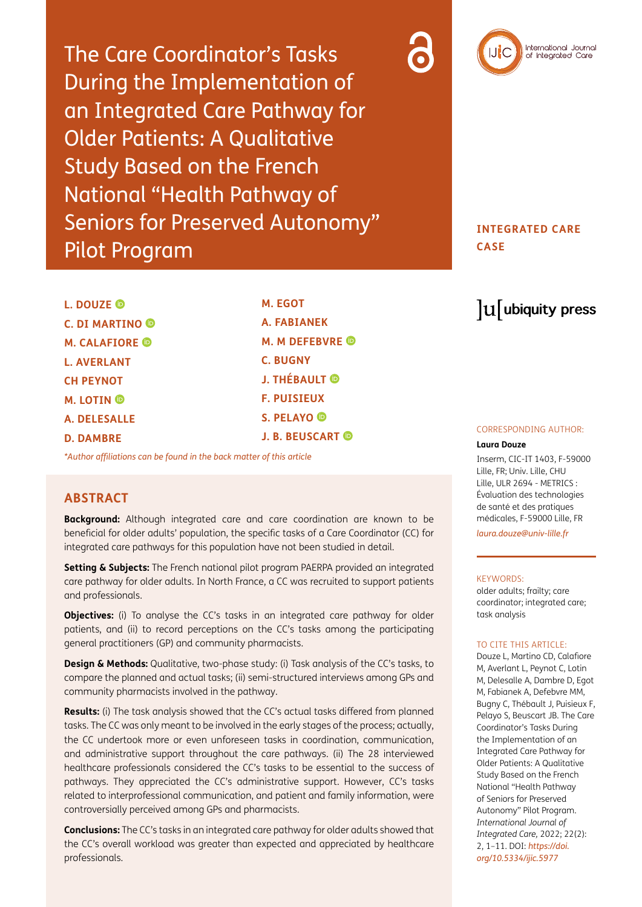The Care Coordinator's Tasks During the Implementation of an Integrated Care Pathway for Older Patients: A Qualitative Study Based on the French National "Health Pathway of Seniors for Preserved Autonomy" Pilot Program



### **INTEGRATED CARE CASE**

**L. DOUZE C. DI MARTINO M. CALAFIORE L. AVERLANT CH PEYNOT M. LOTIN A. DELESALLE D. DAMBRE**

**M. EGOT A. FABIANEK M. M DEFEBVRE C. BUGNY J. THÉBAULT F. PUISIEUX S. PELAYO J. B. BEUSCART** 

*[\\*Author affiliations can be found in the back matter of this article](#page-8-0)*

### **ABSTRACT**

**Background:** Although integrated care and care coordination are known to be beneficial for older adults' population, the specific tasks of a Care Coordinator (CC) for integrated care pathways for this population have not been studied in detail.

**Setting & Subjects:** The French national pilot program PAERPA provided an integrated care pathway for older adults. In North France, a CC was recruited to support patients and professionals.

**Objectives:** (i) To analyse the CC's tasks in an integrated care pathway for older patients, and (ii) to record perceptions on the CC's tasks among the participating general practitioners (GP) and community pharmacists.

**Design & Methods:** Qualitative, two-phase study: (i) Task analysis of the CC's tasks, to compare the planned and actual tasks; (ii) semi-structured interviews among GPs and community pharmacists involved in the pathway.

**Results:** (i) The task analysis showed that the CC's actual tasks differed from planned tasks. The CC was only meant to be involved in the early stages of the process; actually, the CC undertook more or even unforeseen tasks in coordination, communication, and administrative support throughout the care pathways. (ii) The 28 interviewed healthcare professionals considered the CC's tasks to be essential to the success of pathways. They appreciated the CC's administrative support. However, CC's tasks related to interprofessional communication, and patient and family information, were controversially perceived among GPs and pharmacists.

**Conclusions:** The CC's tasks in an integrated care pathway for older adults showed that the CC's overall workload was greater than expected and appreciated by healthcare professionals.

# lu ubiquity press

#### CORRESPONDING AUTHOR:

### **Laura Douze**

Inserm, CIC-IT 1403, F-59000 Lille, FR; Univ. Lille, CHU Lille, ULR 2694 - METRICS : Évaluation des technologies de santé et des pratiques médicales, F-59000 Lille, FR

*[laura.douze@univ-lille.fr](mailto:laura.douze@univ-lille.fr)*

#### KEYWORDS:

older adults; frailty; care coordinator; integrated care; task analysis

#### TO CITE THIS ARTICLE:

Douze L, Martino CD, Calafiore M, Averlant L, Peynot C, Lotin M, Delesalle A, Dambre D, Egot M, Fabianek A, Defebvre MM, Bugny C, Thébault J, Puisieux F, Pelayo S, Beuscart JB. The Care Coordinator's Tasks During the Implementation of an Integrated Care Pathway for Older Patients: A Qualitative Study Based on the French National "Health Pathway of Seniors for Preserved Autonomy" Pilot Program. *International Journal of Integrated Care,* 2022; 22(2): 2, 1–11. DOI: *[https://doi.](https://doi.org/10.5334/ijic.5977) [org/10.5334/ijic.5977](https://doi.org/10.5334/ijic.5977)*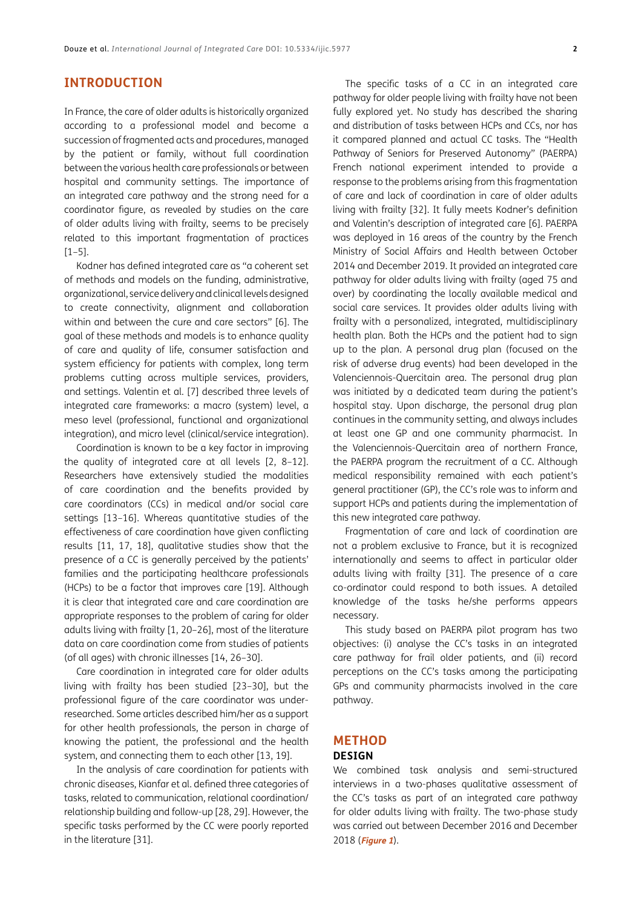### **INTRODUCTION**

In France, the care of older adults is historically organized according to a professional model and become a succession of fragmented acts and procedures, managed by the patient or family, without full coordination between the various health care professionals or between hospital and community settings. The importance of an integrated care pathway and the strong need for a coordinator figure, as revealed by studies on the care of older adults living with frailty, seems to be precisely related to this important fragmentation of practices [\[1–5](#page-8-1)].

Kodner has defined integrated care as "a coherent set of methods and models on the funding, administrative, organizational, service delivery and clinical levels designed to create connectivity, alignment and collaboration within and between the cure and care sectors" [\[6](#page-8-1)]. The goal of these methods and models is to enhance quality of care and quality of life, consumer satisfaction and system efficiency for patients with complex, long term problems cutting across multiple services, providers, and settings. Valentin et al. [\[7\]](#page-8-1) described three levels of integrated care frameworks: a macro (system) level, a meso level (professional, functional and organizational integration), and micro level (clinical/service integration).

Coordination is known to be a key factor in improving the quality of integrated care at all levels [\[2, 8](#page-8-1)–[12](#page-9-0)]. Researchers have extensively studied the modalities of care coordination and the benefits provided by care coordinators (CCs) in medical and/or social care settings [[13–16](#page-9-0)]. Whereas quantitative studies of the effectiveness of care coordination have given conflicting results [\[11,](#page-8-1) [17, 18](#page-9-0)], qualitative studies show that the presence of a CC is generally perceived by the patients' families and the participating healthcare professionals (HCPs) to be a factor that improves care [[19](#page-9-0)]. Although it is clear that integrated care and care coordination are appropriate responses to the problem of caring for older adults living with frailty [\[1](#page-8-1), [20–26](#page-9-0)], most of the literature data on care coordination come from studies of patients (of all ages) with chronic illnesses [[14, 26–30\]](#page-9-0).

Care coordination in integrated care for older adults living with frailty has been studied [[23–30](#page-9-0)], but the professional figure of the care coordinator was underresearched. Some articles described him/her as a support for other health professionals, the person in charge of knowing the patient, the professional and the health system, and connecting them to each other [[13, 19\]](#page-9-0).

In the analysis of care coordination for patients with chronic diseases, Kianfar et al. defined three categories of tasks, related to communication, relational coordination/ relationship building and follow-up [\[28, 29\]](#page-9-0). However, the specific tasks performed by the CC were poorly reported in the literature [\[31\]](#page-9-0).

The specific tasks of a CC in an integrated care pathway for older people living with frailty have not been fully explored yet. No study has described the sharing and distribution of tasks between HCPs and CCs, nor has it compared planned and actual CC tasks. The "Health Pathway of Seniors for Preserved Autonomy" (PAERPA) French national experiment intended to provide a response to the problems arising from this fragmentation of care and lack of coordination in care of older adults living with frailty [[32](#page-9-0)]. It fully meets Kodner's definition and Valentin's description of integrated care [\[6](#page-8-1)]. PAERPA was deployed in 16 areas of the country by the French Ministry of Social Affairs and Health between October 2014 and December 2019. It provided an integrated care pathway for older adults living with frailty (aged 75 and over) by coordinating the locally available medical and social care services. It provides older adults living with frailty with a personalized, integrated, multidisciplinary health plan. Both the HCPs and the patient had to sign up to the plan. A personal drug plan (focused on the risk of adverse drug events) had been developed in the Valenciennois-Quercitain area. The personal drug plan was initiated by a dedicated team during the patient's hospital stay. Upon discharge, the personal drug plan continues in the community setting, and always includes at least one GP and one community pharmacist. In the Valenciennois-Quercitain area of northern France, the PAERPA program the recruitment of a CC. Although medical responsibility remained with each patient's general practitioner (GP), the CC's role was to inform and support HCPs and patients during the implementation of this new integrated care pathway.

Fragmentation of care and lack of coordination are not a problem exclusive to France, but it is recognized internationally and seems to affect in particular older adults living with frailty [\[31\]](#page-9-0). The presence of a care co-ordinator could respond to both issues. A detailed knowledge of the tasks he/she performs appears necessary.

This study based on PAERPA pilot program has two objectives: (i) analyse the CC's tasks in an integrated care pathway for frail older patients, and (ii) record perceptions on the CC's tasks among the participating GPs and community pharmacists involved in the care pathway.

## **METHOD**

### **DESIGN**

We combined task analysis and semi-structured interviews in a two-phases qualitative assessment of the CC's tasks as part of an integrated care pathway for older adults living with frailty. The two-phase study was carried out between December 2016 and December 2018 (**[Figure 1](#page-2-0)**).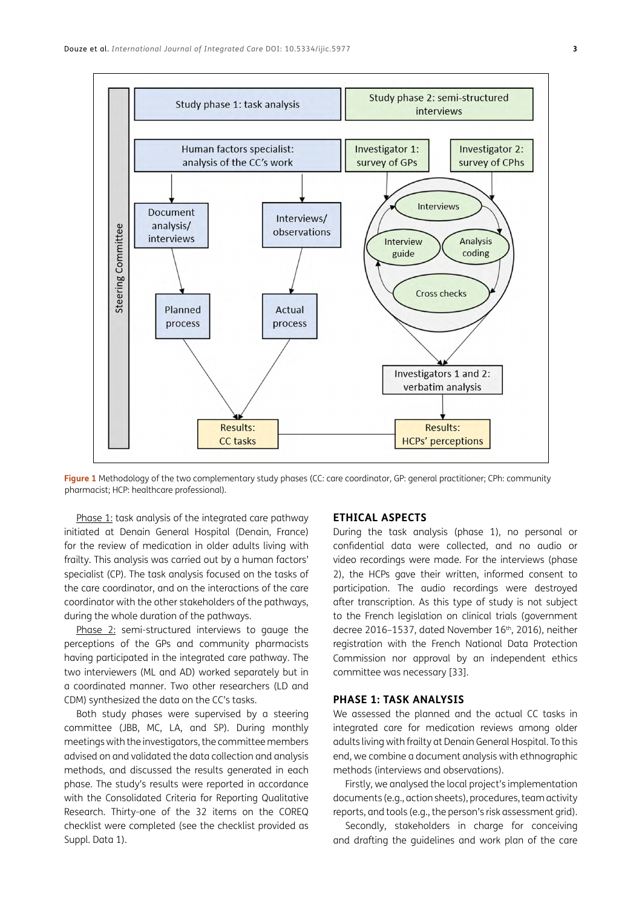

<span id="page-2-0"></span>**Figure 1** Methodology of the two complementary study phases (CC: care coordinator, GP: general practitioner; CPh: community pharmacist; HCP: healthcare professional)*.*

Phase 1: task analysis of the integrated care pathway initiated at Denain General Hospital (Denain, France) for the review of medication in older adults living with frailty. This analysis was carried out by a human factors' specialist (CP). The task analysis focused on the tasks of the care coordinator, and on the interactions of the care coordinator with the other stakeholders of the pathways, during the whole duration of the pathways.

Phase 2: semi-structured interviews to gauge the perceptions of the GPs and community pharmacists having participated in the integrated care pathway. The two interviewers (ML and AD) worked separately but in a coordinated manner. Two other researchers (LD and CDM) synthesized the data on the CC's tasks.

Both study phases were supervised by a steering committee (JBB, MC, LA, and SP). During monthly meetings with the investigators, the committee members advised on and validated the data collection and analysis methods, and discussed the results generated in each phase. The study's results were reported in accordance with the Consolidated Criteria for Reporting Qualitative Research. Thirty-one of the 32 items on the COREQ checklist were completed (see the checklist provided as Suppl. Data 1).

### **ETHICAL ASPECTS**

During the task analysis (phase 1), no personal or confidential data were collected, and no audio or video recordings were made. For the interviews (phase 2), the HCPs gave their written, informed consent to participation. The audio recordings were destroyed after transcription. As this type of study is not subject to the French legislation on clinical trials (government decree 2016-1537, dated November 16<sup>th</sup>, 2016), neither registration with the French National Data Protection Commission nor approval by an independent ethics committee was necessary [\[33\]](#page-10-0).

### **PHASE 1: TASK ANALYSIS**

We assessed the planned and the actual CC tasks in integrated care for medication reviews among older adults living with frailty at Denain General Hospital. To this end, we combine a document analysis with ethnographic methods (interviews and observations).

Firstly, we analysed the local project's implementation documents (e.g., action sheets), procedures, team activity reports, and tools (e.g., the person's risk assessment grid).

Secondly, stakeholders in charge for conceiving and drafting the guidelines and work plan of the care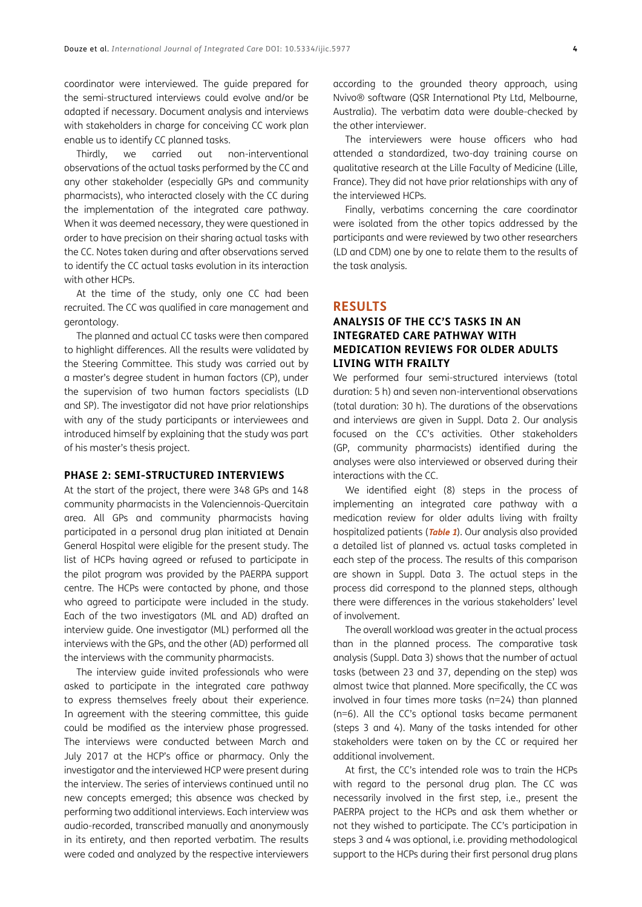coordinator were interviewed. The guide prepared for the semi-structured interviews could evolve and/or be adapted if necessary. Document analysis and interviews with stakeholders in charge for conceiving CC work plan enable us to identify CC planned tasks.

Thirdly, we carried out non-interventional observations of the actual tasks performed by the CC and any other stakeholder (especially GPs and community pharmacists), who interacted closely with the CC during the implementation of the integrated care pathway. When it was deemed necessary, they were questioned in order to have precision on their sharing actual tasks with the CC. Notes taken during and after observations served to identify the CC actual tasks evolution in its interaction with other HCPs.

At the time of the study, only one CC had been recruited. The CC was qualified in care management and gerontology.

The planned and actual CC tasks were then compared to highlight differences. All the results were validated by the Steering Committee. This study was carried out by a master's degree student in human factors (CP), under the supervision of two human factors specialists (LD and SP). The investigator did not have prior relationships with any of the study participants or interviewees and introduced himself by explaining that the study was part of his master's thesis project.

### **PHASE 2: SEMI-STRUCTURED INTERVIEWS**

At the start of the project, there were 348 GPs and 148 community pharmacists in the Valenciennois-Quercitain area. All GPs and community pharmacists having participated in a personal drug plan initiated at Denain General Hospital were eligible for the present study. The list of HCPs having agreed or refused to participate in the pilot program was provided by the PAERPA support centre. The HCPs were contacted by phone, and those who agreed to participate were included in the study. Each of the two investigators (ML and AD) drafted an interview guide. One investigator (ML) performed all the interviews with the GPs, and the other (AD) performed all the interviews with the community pharmacists.

The interview guide invited professionals who were asked to participate in the integrated care pathway to express themselves freely about their experience. In agreement with the steering committee, this guide could be modified as the interview phase progressed. The interviews were conducted between March and July 2017 at the HCP's office or pharmacy. Only the investigator and the interviewed HCP were present during the interview. The series of interviews continued until no new concepts emerged; this absence was checked by performing two additional interviews. Each interview was audio-recorded, transcribed manually and anonymously in its entirety, and then reported verbatim. The results were coded and analyzed by the respective interviewers according to the grounded theory approach, using Nvivo® software (QSR International Pty Ltd, Melbourne, Australia). The verbatim data were double-checked by the other interviewer.

The interviewers were house officers who had attended a standardized, two-day training course on qualitative research at the Lille Faculty of Medicine (Lille, France). They did not have prior relationships with any of the interviewed HCPs.

Finally, verbatims concerning the care coordinator were isolated from the other topics addressed by the participants and were reviewed by two other researchers (LD and CDM) one by one to relate them to the results of the task analysis.

### **RESULTS**

### **ANALYSIS OF THE CC'S TASKS IN AN INTEGRATED CARE PATHWAY WITH MEDICATION REVIEWS FOR OLDER ADULTS LIVING WITH FRAILTY**

We performed four semi-structured interviews (total duration: 5 h) and seven non-interventional observations (total duration: 30 h). The durations of the observations and interviews are given in Suppl. Data 2. Our analysis focused on the CC's activities. Other stakeholders (GP, community pharmacists) identified during the analyses were also interviewed or observed during their interactions with the CC.

We identified eight (8) steps in the process of implementing an integrated care pathway with a medication review for older adults living with frailty hospitalized patients (**[Table 1](#page-4-0)**). Our analysis also provided a detailed list of planned vs. actual tasks completed in each step of the process. The results of this comparison are shown in Suppl. Data 3. The actual steps in the process did correspond to the planned steps, although there were differences in the various stakeholders' level of involvement.

The overall workload was greater in the actual process than in the planned process. The comparative task analysis (Suppl. Data 3) shows that the number of actual tasks (between 23 and 37, depending on the step) was almost twice that planned. More specifically, the CC was involved in four times more tasks (n=24) than planned (n=6). All the CC's optional tasks became permanent (steps 3 and 4). Many of the tasks intended for other stakeholders were taken on by the CC or required her additional involvement.

At first, the CC's intended role was to train the HCPs with regard to the personal drug plan. The CC was necessarily involved in the first step, i.e., present the PAERPA project to the HCPs and ask them whether or not they wished to participate. The CC's participation in steps 3 and 4 was optional, i.e. providing methodological support to the HCPs during their first personal drug plans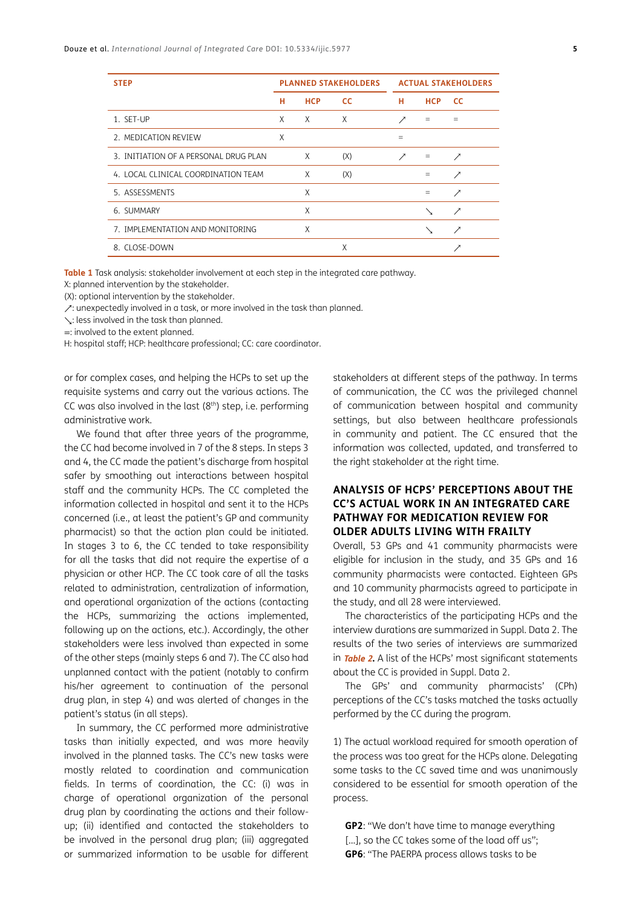| <b>STEP</b>                           | <b>PLANNED STAKEHOLDERS</b> |            | <b>ACTUAL STAKEHOLDERS</b> |     |            |           |
|---------------------------------------|-----------------------------|------------|----------------------------|-----|------------|-----------|
|                                       | н                           | <b>HCP</b> | <b>CC</b>                  | н   | <b>HCP</b> | <b>CC</b> |
| 1. SET-UP                             | Χ                           | $\times$   | $\times$                   | ↗   | $=$        | $=$       |
| 2. MEDICATION REVIEW                  | X                           |            |                            | $=$ |            |           |
| 3. INITIATION OF A PERSONAL DRUG PLAN |                             | X          | (X)                        | ↗   | $=$        | ↗         |
| 4. LOCAL CLINICAL COORDINATION TEAM   |                             | X          | (X)                        |     | $=$        | ↗         |
| 5. ASSESSMENTS                        |                             | X          |                            |     | $=$        | ↗         |
| 6. SUMMARY                            |                             | X          |                            |     | ╲          | ↗         |
| 7. IMPLEMENTATION AND MONITORING      |                             | X          |                            |     | ╲          | ↗         |
| 8. CLOSE-DOWN                         |                             |            | X                          |     |            |           |

<span id="page-4-0"></span>**Table 1** Task analysis: stakeholder involvement at each step in the integrated care pathway.

X: planned intervention by the stakeholder.

(X): optional intervention by the stakeholder.

↗: unexpectedly involved in a task, or more involved in the task than planned.

↘: less involved in the task than planned.

=: involved to the extent planned.

H: hospital staff; HCP: healthcare professional; CC: care coordinator.

or for complex cases, and helping the HCPs to set up the requisite systems and carry out the various actions. The CC was also involved in the last  $(8<sup>th</sup>)$  step, i.e. performing administrative work.

We found that after three years of the programme, the CC had become involved in 7 of the 8 steps. In steps 3 and 4, the CC made the patient's discharge from hospital safer by smoothing out interactions between hospital staff and the community HCPs. The CC completed the information collected in hospital and sent it to the HCPs concerned (i.e., at least the patient's GP and community pharmacist) so that the action plan could be initiated. In stages 3 to 6, the CC tended to take responsibility for all the tasks that did not require the expertise of a physician or other HCP. The CC took care of all the tasks related to administration, centralization of information, and operational organization of the actions (contacting the HCPs, summarizing the actions implemented, following up on the actions, etc.). Accordingly, the other stakeholders were less involved than expected in some of the other steps (mainly steps 6 and 7). The CC also had unplanned contact with the patient (notably to confirm his/her agreement to continuation of the personal drug plan, in step 4) and was alerted of changes in the patient's status (in all steps).

In summary, the CC performed more administrative tasks than initially expected, and was more heavily involved in the planned tasks. The CC's new tasks were mostly related to coordination and communication fields. In terms of coordination, the CC: (i) was in charge of operational organization of the personal drug plan by coordinating the actions and their followup; (ii) identified and contacted the stakeholders to be involved in the personal drug plan; (iii) aggregated or summarized information to be usable for different

stakeholders at different steps of the pathway. In terms of communication, the CC was the privileged channel of communication between hospital and community settings, but also between healthcare professionals in community and patient. The CC ensured that the information was collected, updated, and transferred to the right stakeholder at the right time.

### **ANALYSIS OF HCPS' PERCEPTIONS ABOUT THE CC'S ACTUAL WORK IN AN INTEGRATED CARE PATHWAY FOR MEDICATION REVIEW FOR OLDER ADULTS LIVING WITH FRAILTY**

Overall, 53 GPs and 41 community pharmacists were eligible for inclusion in the study, and 35 GPs and 16 community pharmacists were contacted. Eighteen GPs and 10 community pharmacists agreed to participate in the study, and all 28 were interviewed.

The characteristics of the participating HCPs and the interview durations are summarized in Suppl. Data 2. The results of the two series of interviews are summarized in **[Table 2](#page-5-0).** A list of the HCPs' most significant statements about the CC is provided in Suppl. Data 2.

The GPs' and community pharmacists' (CPh) perceptions of the CC's tasks matched the tasks actually performed by the CC during the program.

1) The actual workload required for smooth operation of the process was too great for the HCPs alone. Delegating some tasks to the CC saved time and was unanimously considered to be essential for smooth operation of the process.

**GP2**: "We don't have time to manage everything [...], so the CC takes some of the load off us"; **GP6**: "The PAERPA process allows tasks to be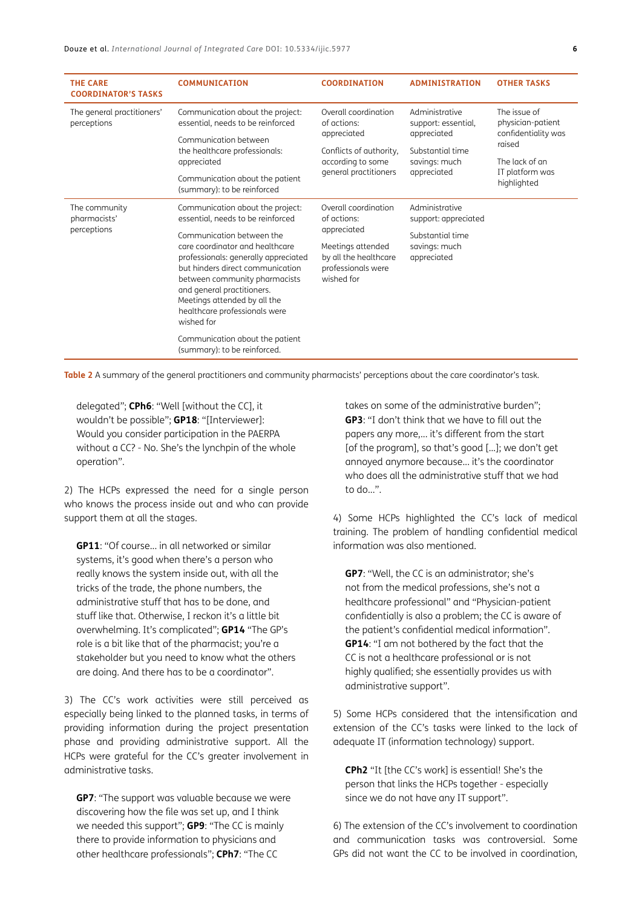| <b>THE CARE</b><br><b>COORDINATOR'S TASKS</b> | <b>COMMUNICATION</b>                                                                                                                                                                                                                                      | <b>COORDINATION</b>                                                            | <b>ADMINISTRATION</b>                  | <b>OTHER TASKS</b>                                                 |
|-----------------------------------------------|-----------------------------------------------------------------------------------------------------------------------------------------------------------------------------------------------------------------------------------------------------------|--------------------------------------------------------------------------------|----------------------------------------|--------------------------------------------------------------------|
| The general practitioners'<br>perceptions     | Communication about the project:<br>essential, needs to be reinforced                                                                                                                                                                                     | Overall coordination<br>of actions:                                            | Administrative<br>support: essential,  | The issue of<br>physician-patient<br>confidentiality was<br>raised |
|                                               | Communication between<br>the healthcare professionals:                                                                                                                                                                                                    | appreciated<br>Conflicts of authority,                                         | appreciated<br>Substantial time        |                                                                    |
|                                               | appreciated                                                                                                                                                                                                                                               | according to some                                                              | savings: much                          | The lack of an<br>IT platform was<br>highlighted                   |
|                                               | Communication about the patient<br>(summary): to be reinforced                                                                                                                                                                                            | general practitioners                                                          | appreciated                            |                                                                    |
| The community<br>pharmacists'<br>perceptions  | Communication about the project:<br>essential, needs to be reinforced                                                                                                                                                                                     | Overall coordination<br>of actions:                                            | Administrative<br>support: appreciated |                                                                    |
|                                               | Communication between the                                                                                                                                                                                                                                 | appreciated                                                                    | Substantial time                       |                                                                    |
|                                               | care coordinator and healthcare<br>professionals: generally appreciated<br>but hinders direct communication<br>between community pharmacists<br>and general practitioners.<br>Meetings attended by all the<br>healthcare professionals were<br>wished for | Meetings attended<br>by all the healthcare<br>professionals were<br>wished for | savings: much<br>appreciated           |                                                                    |
|                                               | Communication about the patient<br>(summary): to be reinforced.                                                                                                                                                                                           |                                                                                |                                        |                                                                    |

<span id="page-5-0"></span>**Table 2** A summary of the general practitioners and community pharmacists' perceptions about the care coordinator's task*.*

delegated"; **CPh6**: "Well [without the CC], it wouldn't be possible"; **GP18**: "[Interviewer]: Would you consider participation in the PAERPA without a CC? - No. She's the lynchpin of the whole operation".

2) The HCPs expressed the need for a single person who knows the process inside out and who can provide support them at all the stages.

**GP11**: "Of course... in all networked or similar systems, it's good when there's a person who really knows the system inside out, with all the tricks of the trade, the phone numbers, the administrative stuff that has to be done, and stuff like that. Otherwise, I reckon it's a little bit overwhelming. It's complicated"; **GP14** "The GP's role is a bit like that of the pharmacist; you're a stakeholder but you need to know what the others are doing. And there has to be a coordinator".

3) The CC's work activities were still perceived as especially being linked to the planned tasks, in terms of providing information during the project presentation phase and providing administrative support. All the HCPs were grateful for the CC's greater involvement in administrative tasks.

**GP7**: "The support was valuable because we were discovering how the file was set up, and I think we needed this support"; **GP9**: "The CC is mainly there to provide information to physicians and other healthcare professionals"; **CPh7**: "The CC

takes on some of the administrative burden"; **GP3**: "I don't think that we have to fill out the papers any more,... it's different from the start [of the program], so that's good [...]; we don't get annoyed anymore because... it's the coordinator who does all the administrative stuff that we had to do...".

4) Some HCPs highlighted the CC's lack of medical training. The problem of handling confidential medical information was also mentioned.

**GP7**: "Well, the CC is an administrator; she's not from the medical professions, she's not a healthcare professional" and "Physician-patient confidentially is also a problem; the CC is aware of the patient's confidential medical information". **GP14**: "I am not bothered by the fact that the CC is not a healthcare professional or is not highly qualified; she essentially provides us with administrative support".

5) Some HCPs considered that the intensification and extension of the CC's tasks were linked to the lack of adequate IT (information technology) support.

**CPh2** "It [the CC's work] is essential! She's the person that links the HCPs together - especially since we do not have any IT support".

6) The extension of the CC's involvement to coordination and communication tasks was controversial. Some GPs did not want the CC to be involved in coordination,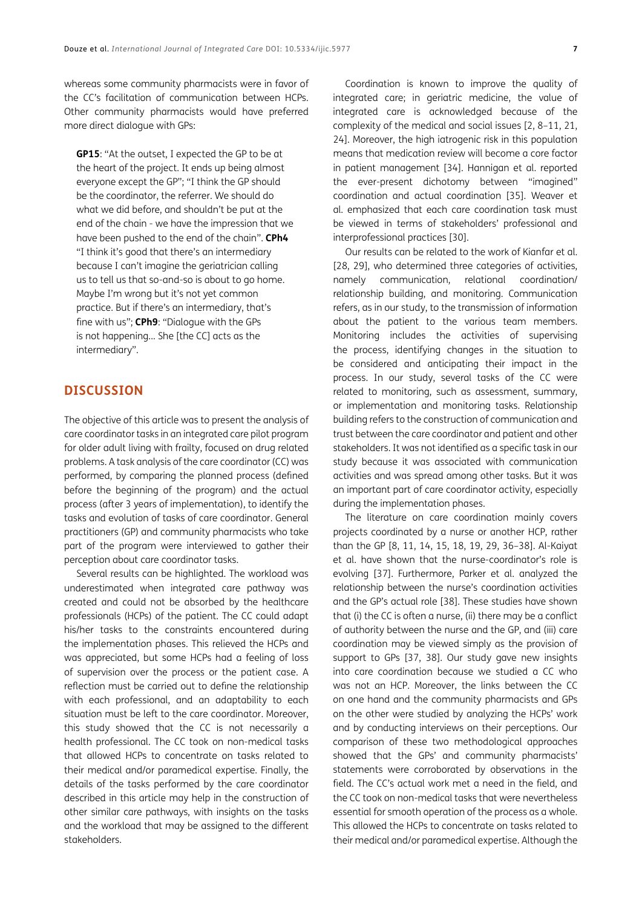whereas some community pharmacists were in favor of the CC's facilitation of communication between HCPs. Other community pharmacists would have preferred more direct dialogue with GPs:

**GP15**: "At the outset, I expected the GP to be at the heart of the project. It ends up being almost everyone except the GP"; "I think the GP should be the coordinator, the referrer. We should do what we did before, and shouldn't be put at the end of the chain - we have the impression that we have been pushed to the end of the chain". **CPh4** "I think it's good that there's an intermediary because I can't imagine the geriatrician calling us to tell us that so-and-so is about to go home. Maybe I'm wrong but it's not yet common practice. But if there's an intermediary, that's fine with us"; **CPh9**: "Dialogue with the GPs is not happening... She [the CC] acts as the intermediary".

### **DISCUSSION**

The objective of this article was to present the analysis of care coordinator tasks in an integrated care pilot program for older adult living with frailty, focused on drug related problems. A task analysis of the care coordinator (CC) was performed, by comparing the planned process (defined before the beginning of the program) and the actual process (after 3 years of implementation), to identify the tasks and evolution of tasks of care coordinator. General practitioners (GP) and community pharmacists who take part of the program were interviewed to gather their perception about care coordinator tasks.

Several results can be highlighted. The workload was underestimated when integrated care pathway was created and could not be absorbed by the healthcare professionals (HCPs) of the patient. The CC could adapt his/her tasks to the constraints encountered during the implementation phases. This relieved the HCPs and was appreciated, but some HCPs had a feeling of loss of supervision over the process or the patient case. A reflection must be carried out to define the relationship with each professional, and an adaptability to each situation must be left to the care coordinator. Moreover, this study showed that the CC is not necessarily a health professional. The CC took on non-medical tasks that allowed HCPs to concentrate on tasks related to their medical and/or paramedical expertise. Finally, the details of the tasks performed by the care coordinator described in this article may help in the construction of other similar care pathways, with insights on the tasks and the workload that may be assigned to the different stakeholders.

Coordination is known to improve the quality of integrated care; in geriatric medicine, the value of integrated care is acknowledged because of the complexity of the medical and social issues [[2](#page-8-1), [8–11,](#page-8-1) [21,](#page-9-0)  [24](#page-9-0)]. Moreover, the high iatrogenic risk in this population means that medication review will become a core factor in patient management [\[34\]](#page-10-0). Hannigan et al. reported the ever-present dichotomy between "imagined" coordination and actual coordination [[35\]](#page-10-0). Weaver et al. emphasized that each care coordination task must be viewed in terms of stakeholders' professional and interprofessional practices [\[30\]](#page-9-0).

Our results can be related to the work of Kianfar et al. [[28, 29](#page-9-0)], who determined three categories of activities, namely communication, relational coordination/ relationship building, and monitoring. Communication refers, as in our study, to the transmission of information about the patient to the various team members. Monitoring includes the activities of supervising the process, identifying changes in the situation to be considered and anticipating their impact in the process. In our study, several tasks of the CC were related to monitoring, such as assessment, summary, or implementation and monitoring tasks. Relationship building refers to the construction of communication and trust between the care coordinator and patient and other stakeholders. It was not identified as a specific task in our study because it was associated with communication activities and was spread among other tasks. But it was an important part of care coordinator activity, especially during the implementation phases.

The literature on care coordination mainly covers projects coordinated by a nurse or another HCP, rather than the GP [\[8, 11,](#page-8-1) [14, 15, 18, 19, 29](#page-9-0), [36–38](#page-10-0)]. Al-Kaiyat et al. have shown that the nurse-coordinator's role is evolving [\[37\]](#page-10-0). Furthermore, Parker et al. analyzed the relationship between the nurse's coordination activities and the GP's actual role [\[38\]](#page-10-0). These studies have shown that (i) the CC is often a nurse, (ii) there may be a conflict of authority between the nurse and the GP, and (iii) care coordination may be viewed simply as the provision of support to GPs [\[37, 38](#page-10-0)]. Our study gave new insights into care coordination because we studied a CC who was not an HCP. Moreover, the links between the CC on one hand and the community pharmacists and GPs on the other were studied by analyzing the HCPs' work and by conducting interviews on their perceptions. Our comparison of these two methodological approaches showed that the GPs' and community pharmacists' statements were corroborated by observations in the field. The CC's actual work met a need in the field, and the CC took on non-medical tasks that were nevertheless essential for smooth operation of the process as a whole. This allowed the HCPs to concentrate on tasks related to their medical and/or paramedical expertise. Although the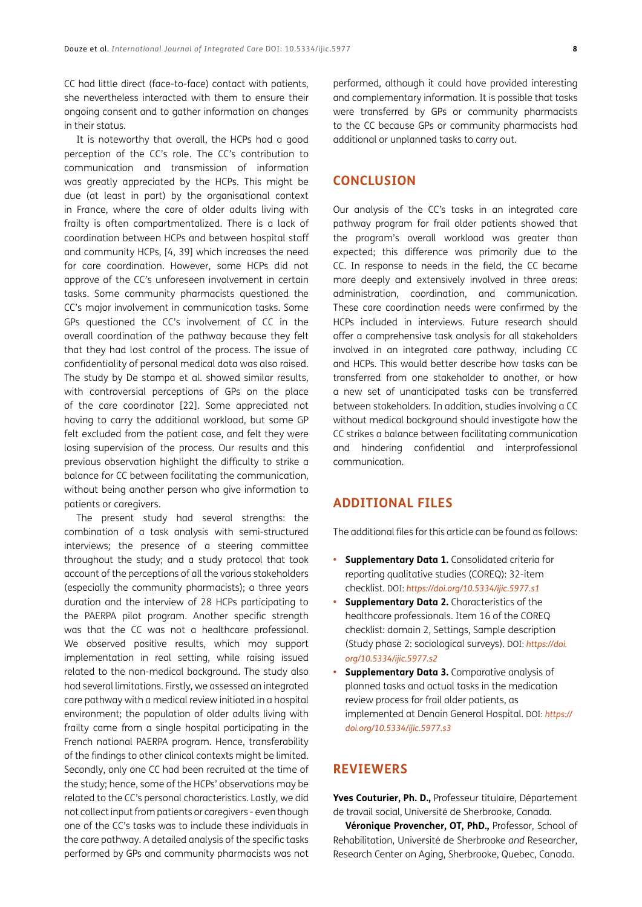CC had little direct (face-to-face) contact with patients, she nevertheless interacted with them to ensure their ongoing consent and to gather information on changes in their status.

It is noteworthy that overall, the HCPs had a good perception of the CC's role. The CC's contribution to communication and transmission of information was greatly appreciated by the HCPs. This might be due (at least in part) by the organisational context in France, where the care of older adults living with frailty is often compartmentalized. There is a lack of coordination between HCPs and between hospital staff and community HCPs, [[4,](#page-8-1) [39](#page-10-0)] which increases the need for care coordination. However, some HCPs did not approve of the CC's unforeseen involvement in certain tasks. Some community pharmacists questioned the CC's major involvement in communication tasks. Some GPs questioned the CC's involvement of CC in the overall coordination of the pathway because they felt that they had lost control of the process. The issue of confidentiality of personal medical data was also raised. The study by De stampa et al. showed similar results, with controversial perceptions of GPs on the place of the care coordinator [[22](#page-9-0)]. Some appreciated not having to carry the additional workload, but some GP felt excluded from the patient case, and felt they were losing supervision of the process. Our results and this previous observation highlight the difficulty to strike a balance for CC between facilitating the communication, without being another person who give information to patients or caregivers.

The present study had several strengths: the combination of a task analysis with semi-structured interviews; the presence of a steering committee throughout the study; and a study protocol that took account of the perceptions of all the various stakeholders (especially the community pharmacists); a three years duration and the interview of 28 HCPs participating to the PAERPA pilot program. Another specific strength was that the CC was not a healthcare professional. We observed positive results, which may support implementation in real setting, while raising issued related to the non-medical background. The study also had several limitations. Firstly, we assessed an integrated care pathway with a medical review initiated in a hospital environment; the population of older adults living with frailty came from a single hospital participating in the French national PAERPA program. Hence, transferability of the findings to other clinical contexts might be limited. Secondly, only one CC had been recruited at the time of the study; hence, some of the HCPs' observations may be related to the CC's personal characteristics. Lastly, we did not collect input from patients or caregivers - even though one of the CC's tasks was to include these individuals in the care pathway. A detailed analysis of the specific tasks performed by GPs and community pharmacists was not

performed, although it could have provided interesting and complementary information. It is possible that tasks were transferred by GPs or community pharmacists to the CC because GPs or community pharmacists had additional or unplanned tasks to carry out.

### **CONCLUSION**

Our analysis of the CC's tasks in an integrated care pathway program for frail older patients showed that the program's overall workload was greater than expected; this difference was primarily due to the CC. In response to needs in the field, the CC became more deeply and extensively involved in three areas: administration, coordination, and communication. These care coordination needs were confirmed by the HCPs included in interviews. Future research should offer a comprehensive task analysis for all stakeholders involved in an integrated care pathway, including CC and HCPs. This would better describe how tasks can be transferred from one stakeholder to another, or how a new set of unanticipated tasks can be transferred between stakeholders. In addition, studies involving a CC without medical background should investigate how the CC strikes a balance between facilitating communication and hindering confidential and interprofessional communication.

### **ADDITIONAL FILES**

The additional files for this article can be found as follows:

- **• Supplementary Data 1.** Consolidated criteria for reporting qualitative studies (COREQ): 32-item checklist. DOI: *<https://doi.org/10.5334/ijic.5977.s1>*
- **• Supplementary Data 2.** Characteristics of the healthcare professionals. Item 16 of the COREQ checklist: domain 2, Settings, Sample description (Study phase 2: sociological surveys). DOI: *[https://doi.](https://doi.org/10.5334/ijic.5977.s2) [org/10.5334/ijic.5977.s2](https://doi.org/10.5334/ijic.5977.s2)*
- **• Supplementary Data 3.** Comparative analysis of planned tasks and actual tasks in the medication review process for frail older patients, as implemented at Denain General Hospital. DOI: *[https://](https://doi.org/10.5334/ijic.5977.s3) [doi.org/10.5334/ijic.5977.s3](https://doi.org/10.5334/ijic.5977.s3)*

### **REVIEWERS**

**Yves Couturier, Ph. D.,** Professeur titulaire, Département de travail social, Université de Sherbrooke, Canada.

**Véronique Provencher, OT, PhD.,** Professor, School of Rehabilitation, Université de Sherbrooke *and* Researcher, Research Center on Aging, Sherbrooke, Quebec, Canada.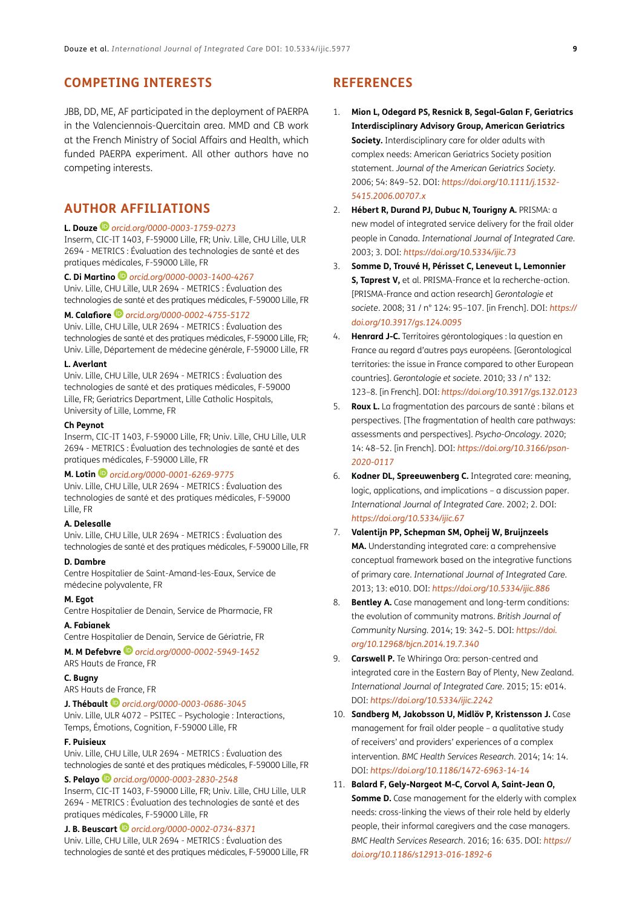### <span id="page-8-1"></span>**COMPETING INTERESTS**

JBB, DD, ME, AF participated in the deployment of PAERPA in the Valenciennois-Quercitain area. MMD and CB work at the French Ministry of Social Affairs and Health, which funded PAERPA experiment. All other authors have no competing interests.

### <span id="page-8-0"></span>**AUTHOR AFFILIATIONS**

#### **L. Douze** *[orcid.org/0000-0003-1759-0273](https://orcid.org/0000-0003-1759-0273)*

Inserm, CIC-IT 1403, F-59000 Lille, FR; Univ. Lille, CHU Lille, ULR 2694 - METRICS : Évaluation des technologies de santé et des pratiques médicales, F-59000 Lille, FR

**C. Di Martino***[orcid.org/0000-0003-1400-4267](https://orcid.org/0000-0003-1400-4267)* Univ. Lille, CHU Lille, ULR 2694 - METRICS : Évaluation des technologies de santé et des pratiques médicales, F-59000 Lille, FR

**M. Calafiore** *[orcid.org/0000-0002-4755-5172](https://orcid.org/0000-0002-4755-5172)* Univ. Lille, CHU Lille, ULR 2694 - METRICS : Évaluation des

technologies de santé et des pratiques médicales, F-59000 Lille, FR; Univ. Lille, Département de médecine générale, F-59000 Lille, FR

#### **L. Averlant**

Univ. Lille, CHU Lille, ULR 2694 - METRICS : Évaluation des technologies de santé et des pratiques médicales, F-59000 Lille, FR; Geriatrics Department, Lille Catholic Hospitals, University of Lille, Lomme, FR

#### **Ch Peynot**

Inserm, CIC-IT 1403, F-59000 Lille, FR; Univ. Lille, CHU Lille, ULR 2694 - METRICS : Évaluation des technologies de santé et des pratiques médicales, F-59000 Lille, FR

#### **M. Lotin** *[orcid.org/0000-0001-6269-9775](https://orcid.org/0000-0001-6269-9775)*

Univ. Lille, CHU Lille, ULR 2694 - METRICS : Évaluation des technologies de santé et des pratiques médicales, F-59000 Lille, FR

#### **A. Delesalle**

Univ. Lille, CHU Lille, ULR 2694 - METRICS : Évaluation des technologies de santé et des pratiques médicales, F-59000 Lille, FR

### **D. Dambre**

Centre Hospitalier de Saint-Amand-les-Eaux, Service de médecine polyvalente, FR

### **M. Egot**

Centre Hospitalier de Denain, Service de Pharmacie, FR

#### **A. Fabianek**

Centre Hospitalier de Denain, Service de Gériatrie, FR

**M. M Defebvre***[orcid.org/0000-0002-5949-1452](https://orcid.org/0000-0002-5949-1452)* ARS Hauts de France, FR

### **C. Bugny**

ARS Hauts de France, FR

### **J. Thébault***[orcid.org/0000-0003-0686-3045](https://orcid.org/0000-0003-0686-3045)*

Univ. Lille, ULR 4072 – PSITEC – Psychologie : Interactions, Temps, Émotions, Cognition, F-59000 Lille, FR

### **F. Puisieux**

Univ. Lille, CHU Lille, ULR 2694 - METRICS : Évaluation des technologies de santé et des pratiques médicales, F-59000 Lille, FR

### **S. Pelayo***[orcid.org/0000-0003-2830-2548](https://orcid.org/0000-0003-2830-2548)*

Inserm, CIC-IT 1403, F-59000 Lille, FR; Univ. Lille, CHU Lille, ULR 2694 - METRICS : Évaluation des technologies de santé et des pratiques médicales, F-59000 Lille, FR

### **J. B. Beuscart** *[orcid.org/0000-0002-0734-8371](https://orcid.org/0000-0002-0734-8371)*

Univ. Lille, CHU Lille, ULR 2694 - METRICS : Évaluation des technologies de santé et des pratiques médicales, F-59000 Lille, FR

### **REFERENCES**

- 1. **Mion L, Odegard PS, Resnick B, Segal-Galan F, Geriatrics Interdisciplinary Advisory Group, American Geriatrics Society.** Interdisciplinary care for older adults with complex needs: American Geriatrics Society position statement. *Journal of the American Geriatrics Society*. 2006; 54: 849–52. DOI: *[https://doi.org/10.1111/j.1532-](https://doi.org/10.1111/j.1532-5415.2006.00707.x) [5415.2006.00707.x](https://doi.org/10.1111/j.1532-5415.2006.00707.x)*
- 2. **Hébert R, Durand PJ, Dubuc N, Tourigny A.** PRISMA: a new model of integrated service delivery for the frail older people in Canada. *International Journal of Integrated Care*. 2003; 3. DOI: *<https://doi.org/10.5334/ijic.73>*
- 3. **Somme D, Trouvé H, Périsset C, Leneveut L, Lemonnier S, Taprest V,** et al. PRISMA-France et la recherche-action. [PRISMA-France and action research] *Gerontologie et societe*. 2008; 31 / n° 124: 95–107. [in French]. DOI: *[https://](https://doi.org/10.3917/gs.124.0095) [doi.org/10.3917/gs.124.0095](https://doi.org/10.3917/gs.124.0095)*
- 4. **Henrard J-C.** Territoires gérontologiques : la question en France au regard d'autres pays européens. [Gerontological territories: the issue in France compared to other European countries]. *Gerontologie et societe*. 2010; 33 / n° 132: 123–8. [in French]. DOI: *<https://doi.org/10.3917/gs.132.0123>*
- 5. **Roux L.** La fragmentation des parcours de santé : bilans et perspectives. [The fragmentation of health care pathways: assessments and perspectives]. *Psycho-Oncology*. 2020; 14: 48–52. [in French]. DOI: *[https://doi.org/10.3166/pson-](https://doi.org/10.3166/pson-2020-0117)[2020-0117](https://doi.org/10.3166/pson-2020-0117)*
- 6. **Kodner DL, Spreeuwenberg C.** Integrated care: meaning, logic, applications, and implications – a discussion paper. *International Journal of Integrated Care*. 2002; 2. DOI: *<https://doi.org/10.5334/ijic.67>*
- 7. **Valentijn PP, Schepman SM, Opheij W, Bruijnzeels MA.** Understanding integrated care: a comprehensive conceptual framework based on the integrative functions of primary care. *International Journal of Integrated Care*. 2013; 13: e010. DOI: *<https://doi.org/10.5334/ijic.886>*
- 8. **Bentley A.** Case management and long-term conditions: the evolution of community matrons. *British Journal of Community Nursing*. 2014; 19: 342–5. DOI: *[https://doi.](https://doi.org/10.12968/bjcn.2014.19.7.340) [org/10.12968/bjcn.2014.19.7.340](https://doi.org/10.12968/bjcn.2014.19.7.340)*
- 9. **Carswell P.** Te Whiringa Ora: person-centred and integrated care in the Eastern Bay of Plenty, New Zealand. *International Journal of Integrated Care*. 2015; 15: e014. DOI: *<https://doi.org/10.5334/ijic.2242>*
- 10. **Sandberg M, Jakobsson U, Midlöv P, Kristensson J.** Case management for frail older people – a qualitative study of receivers' and providers' experiences of a complex intervention. *BMC Health Services Research*. 2014; 14: 14. DOI: *<https://doi.org/10.1186/1472-6963-14-14>*
- 11. **Balard F, Gely-Nargeot M-C, Corvol A, Saint-Jean O, Somme D.** Case management for the elderly with complex needs: cross-linking the views of their role held by elderly people, their informal caregivers and the case managers. *BMC Health Services Research*. 2016; 16: 635. DOI: *[https://](https://doi.org/10.1186/s12913-016-1892-6) [doi.org/10.1186/s12913-016-1892-6](https://doi.org/10.1186/s12913-016-1892-6)*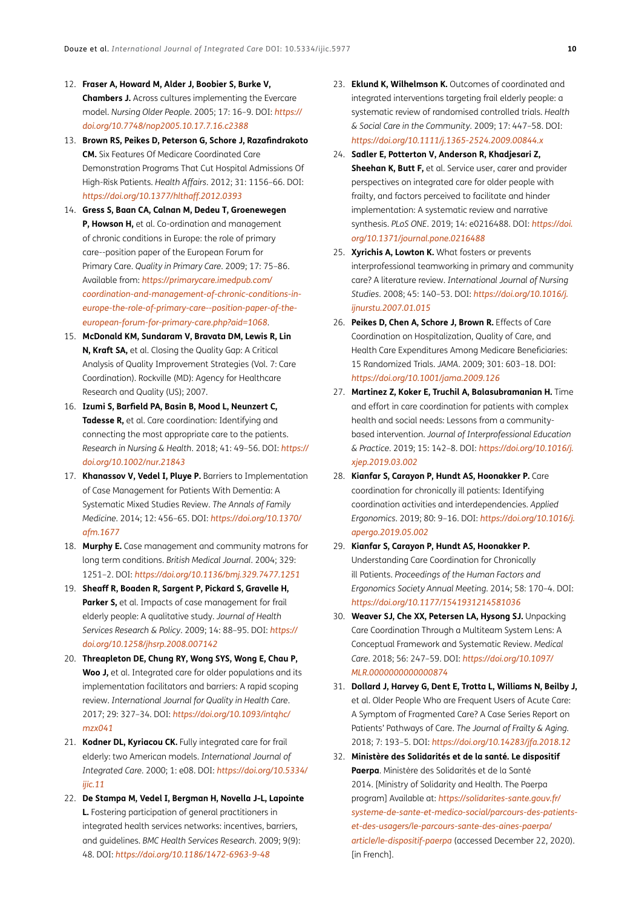- <span id="page-9-0"></span>12. **Fraser A, Howard M, Alder J, Boobier S, Burke V, Chambers J.** Across cultures implementing the Evercare model. *Nursing Older People*. 2005; 17: 16–9. DOI: *[https://](https://doi.org/10.7748/nop2005.10.17.7.16.c2388) [doi.org/10.7748/nop2005.10.17.7.16.c2388](https://doi.org/10.7748/nop2005.10.17.7.16.c2388)*
- 13. **Brown RS, Peikes D, Peterson G, Schore J, Razafindrakoto CM.** Six Features Of Medicare Coordinated Care Demonstration Programs That Cut Hospital Admissions Of High-Risk Patients. *Health Affairs*. 2012; 31: 1156–66. DOI: *<https://doi.org/10.1377/hlthaff.2012.0393>*
- 14. **Gress S, Baan CA, Calnan M, Dedeu T, Groenewegen P, Howson H,** et al. Co-ordination and management of chronic conditions in Europe: the role of primary care--position paper of the European Forum for Primary Care. *Quality in Primary Care*. 2009; 17: 75–86. Available from: *[https://primarycare.imedpub.com/](https://primarycare.imedpub.com/coordination-and-management-of-chronic-conditions-in-europe-the-role-of-primary-care--position-paper-of-the-european-forum-for-primary-care.php?aid=1068) [coordination-and-management-of-chronic-conditions-in](https://primarycare.imedpub.com/coordination-and-management-of-chronic-conditions-in-europe-the-role-of-primary-care--position-paper-of-the-european-forum-for-primary-care.php?aid=1068)[europe-the-role-of-primary-care--position-paper-of-the](https://primarycare.imedpub.com/coordination-and-management-of-chronic-conditions-in-europe-the-role-of-primary-care--position-paper-of-the-european-forum-for-primary-care.php?aid=1068)[european-forum-for-primary-care.php?aid=1068](https://primarycare.imedpub.com/coordination-and-management-of-chronic-conditions-in-europe-the-role-of-primary-care--position-paper-of-the-european-forum-for-primary-care.php?aid=1068)*.
- 15. **McDonald KM, Sundaram V, Bravata DM, Lewis R, Lin N, Kraft SA,** et al. Closing the Quality Gap: A Critical Analysis of Quality Improvement Strategies (Vol. 7: Care Coordination). Rockville (MD): Agency for Healthcare Research and Quality (US); 2007.
- 16. **Izumi S, Barfield PA, Basin B, Mood L, Neunzert C, Tadesse R,** et al. Care coordination: Identifying and connecting the most appropriate care to the patients. *Research in Nursing & Health*. 2018; 41: 49–56. DOI: *[https://](https://doi.org/10.1002/nur.21843) [doi.org/10.1002/nur.21843](https://doi.org/10.1002/nur.21843)*
- 17. **Khanassov V, Vedel I, Pluye P.** Barriers to Implementation of Case Management for Patients With Dementia: A Systematic Mixed Studies Review. *The Annals of Family Medicine*. 2014; 12: 456–65. DOI: *[https://doi.org/10.1370/](https://doi.org/10.1370/afm.1677) [afm.1677](https://doi.org/10.1370/afm.1677)*
- 18. **Murphy E.** Case management and community matrons for long term conditions. *British Medical Journal*. 2004; 329: 1251–2. DOI: *<https://doi.org/10.1136/bmj.329.7477.1251>*
- 19. **Sheaff R, Boaden R, Sargent P, Pickard S, Gravelle H,**  Parker S, et al. Impacts of case management for frail elderly people: A qualitative study. *Journal of Health Services Research & Policy*. 2009; 14: 88–95. DOI: *[https://](https://doi.org/10.1258/jhsrp.2008.007142) [doi.org/10.1258/jhsrp.2008.007142](https://doi.org/10.1258/jhsrp.2008.007142)*
- 20. **Threapleton DE, Chung RY, Wong SYS, Wong E, Chau P, Woo J,** et al. Integrated care for older populations and its implementation facilitators and barriers: A rapid scoping review. *International Journal for Quality in Health Care*. 2017; 29: 327–34. DOI: *[https://doi.org/10.1093/intqhc/](https://doi.org/10.1093/intqhc/mzx041) [mzx041](https://doi.org/10.1093/intqhc/mzx041)*
- 21. **Kodner DL, Kyriacou CK.** Fully integrated care for frail elderly: two American models. *International Journal of Integrated Care*. 2000; 1: e08. DOI: *[https://doi.org/10.5334/](https://doi.org/10.5334/ijic.11) [ijic.11](https://doi.org/10.5334/ijic.11)*
- 22. **De Stampa M, Vedel I, Bergman H, Novella J-L, Lapointe L.** Fostering participation of general practitioners in integrated health services networks: incentives, barriers, and guidelines. *BMC Health Services Research*. 2009; 9(9): 48. DOI: *<https://doi.org/10.1186/1472-6963-9-48>*
- 23. **Eklund K, Wilhelmson K.** Outcomes of coordinated and integrated interventions targeting frail elderly people: a systematic review of randomised controlled trials. *Health & Social Care in the Community*. 2009; 17: 447–58. DOI: *<https://doi.org/10.1111/j.1365-2524.2009.00844.x>*
- 24. **Sadler E, Potterton V, Anderson R, Khadjesari Z, Sheehan K, Butt F,** et al. Service user, carer and provider perspectives on integrated care for older people with frailty, and factors perceived to facilitate and hinder implementation: A systematic review and narrative synthesis. *PLoS ONE*. 2019; 14: e0216488. DOI: *[https://doi.](https://doi.org/10.1371/journal.pone.0216488) [org/10.1371/journal.pone.0216488](https://doi.org/10.1371/journal.pone.0216488)*
- 25. **Xyrichis A, Lowton K.** What fosters or prevents interprofessional teamworking in primary and community care? A literature review. *International Journal of Nursing Studies*. 2008; 45: 140–53. DOI: *[https://doi.org/10.1016/j.](https://doi.org/10.1016/j.ijnurstu.2007.01.015) [ijnurstu.2007.01.015](https://doi.org/10.1016/j.ijnurstu.2007.01.015)*
- 26. **Peikes D, Chen A, Schore J, Brown R.** Effects of Care Coordination on Hospitalization, Quality of Care, and Health Care Expenditures Among Medicare Beneficiaries: 15 Randomized Trials. *JAMA*. 2009; 301: 603–18. DOI: *<https://doi.org/10.1001/jama.2009.126>*
- 27. **Martinez Z, Koker E, Truchil A, Balasubramanian H.** Time and effort in care coordination for patients with complex health and social needs: Lessons from a communitybased intervention. *Journal of Interprofessional Education & Practice*. 2019; 15: 142–8. DOI: *[https://doi.org/10.1016/j.](https://doi.org/10.1016/j.xjep.2019.03.002) [xjep.2019.03.002](https://doi.org/10.1016/j.xjep.2019.03.002)*
- 28. **Kianfar S, Carayon P, Hundt AS, Hoonakker P.** Care coordination for chronically ill patients: Identifying coordination activities and interdependencies. *Applied Ergonomics*. 2019; 80: 9–16. DOI: *[https://doi.org/10.1016/j.](https://doi.org/10.1016/j.apergo.2019.05.002) [apergo.2019.05.002](https://doi.org/10.1016/j.apergo.2019.05.002)*
- 29. **Kianfar S, Carayon P, Hundt AS, Hoonakker P.** Understanding Care Coordination for Chronically ill Patients. *Proceedings of the Human Factors and Ergonomics Society Annual Meeting*. 2014; 58: 170–4. DOI: *<https://doi.org/10.1177/1541931214581036>*
- 30. **Weaver SJ, Che XX, Petersen LA, Hysong SJ.** Unpacking Care Coordination Through a Multiteam System Lens: A Conceptual Framework and Systematic Review. *Medical Care*. 2018; 56: 247–59. DOI: *[https://doi.org/10.1097/](https://doi.org/10.1097/MLR.0000000000000874) [MLR.0000000000000874](https://doi.org/10.1097/MLR.0000000000000874)*
- 31. **Dollard J, Harvey G, Dent E, Trotta L, Williams N, Beilby J,** et al. Older People Who are Frequent Users of Acute Care: A Symptom of Fragmented Care? A Case Series Report on Patients' Pathways of Care. *The Journal of Frailty & Aging*. 2018; 7: 193–5. DOI: *<https://doi.org/10.14283/jfa.2018.12>*
- 32. **Ministère des Solidarités et de la santé. Le dispositif Paerpa**. Ministère des Solidarités et de la Santé 2014. [Ministry of Solidarity and Health. The Paerpa program] Available at: *[https://solidarites-sante.gouv.fr/](https://solidarites-sante.gouv.fr/systeme-de-sante-et-medico-social/parcours-des-patients-et-des-usagers/le-parcours-sante-des-aines-paerpa/article/le-dispositif-paerpa) [systeme-de-sante-et-medico-social/parcours-des-patients](https://solidarites-sante.gouv.fr/systeme-de-sante-et-medico-social/parcours-des-patients-et-des-usagers/le-parcours-sante-des-aines-paerpa/article/le-dispositif-paerpa)[et-des-usagers/le-parcours-sante-des-aines-paerpa/](https://solidarites-sante.gouv.fr/systeme-de-sante-et-medico-social/parcours-des-patients-et-des-usagers/le-parcours-sante-des-aines-paerpa/article/le-dispositif-paerpa) [article/le-dispositif-paerpa](https://solidarites-sante.gouv.fr/systeme-de-sante-et-medico-social/parcours-des-patients-et-des-usagers/le-parcours-sante-des-aines-paerpa/article/le-dispositif-paerpa)* (accessed December 22, 2020). [in French].